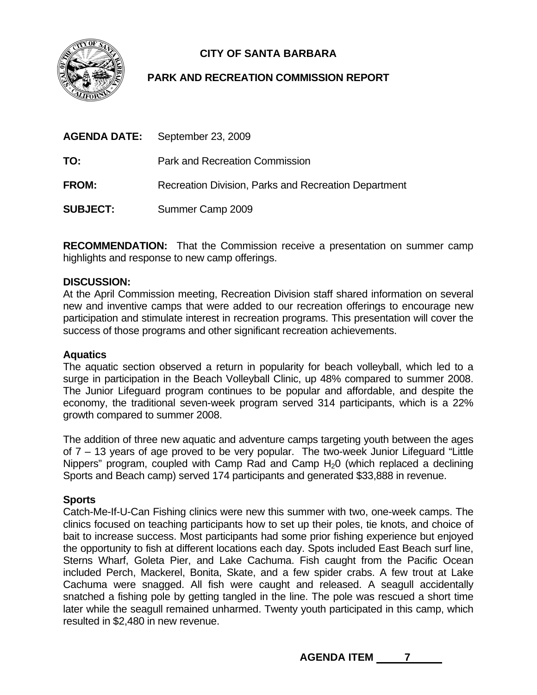# **CITY OF SANTA BARBARA**

## **PARK AND RECREATION COMMISSION REPORT**

| <b>AGENDA DATE:</b> | September 23, 2009                                   |
|---------------------|------------------------------------------------------|
| TO:                 | <b>Park and Recreation Commission</b>                |
| <b>FROM:</b>        | Recreation Division, Parks and Recreation Department |
| <b>SUBJECT:</b>     | Summer Camp 2009                                     |

**RECOMMENDATION:** That the Commission receive a presentation on summer camp highlights and response to new camp offerings.

### **DISCUSSION:**

At the April Commission meeting, Recreation Division staff shared information on several new and inventive camps that were added to our recreation offerings to encourage new participation and stimulate interest in recreation programs. This presentation will cover the success of those programs and other significant recreation achievements.

### **Aquatics**

The aquatic section observed a return in popularity for beach volleyball, which led to a surge in participation in the Beach Volleyball Clinic, up 48% compared to summer 2008. The Junior Lifeguard program continues to be popular and affordable, and despite the economy, the traditional seven-week program served 314 participants, which is a 22% growth compared to summer 2008.

The addition of three new aquatic and adventure camps targeting youth between the ages of 7 – 13 years of age proved to be very popular. The two-week Junior Lifeguard "Little Nippers" program, coupled with Camp Rad and Camp  $H_2O$  (which replaced a declining Sports and Beach camp) served 174 participants and generated \$33,888 in revenue.

### **Sports**

Catch-Me-If-U-Can Fishing clinics were new this summer with two, one-week camps. The clinics focused on teaching participants how to set up their poles, tie knots, and choice of bait to increase success. Most participants had some prior fishing experience but enjoyed the opportunity to fish at different locations each day. Spots included East Beach surf line, Sterns Wharf, Goleta Pier, and Lake Cachuma. Fish caught from the Pacific Ocean included Perch, Mackerel, Bonita, Skate, and a few spider crabs. A few trout at Lake Cachuma were snagged. All fish were caught and released. A seagull accidentally snatched a fishing pole by getting tangled in the line. The pole was rescued a short time later while the seagull remained unharmed. Twenty youth participated in this camp, which resulted in \$2,480 in new revenue.

AGENDA ITEM 7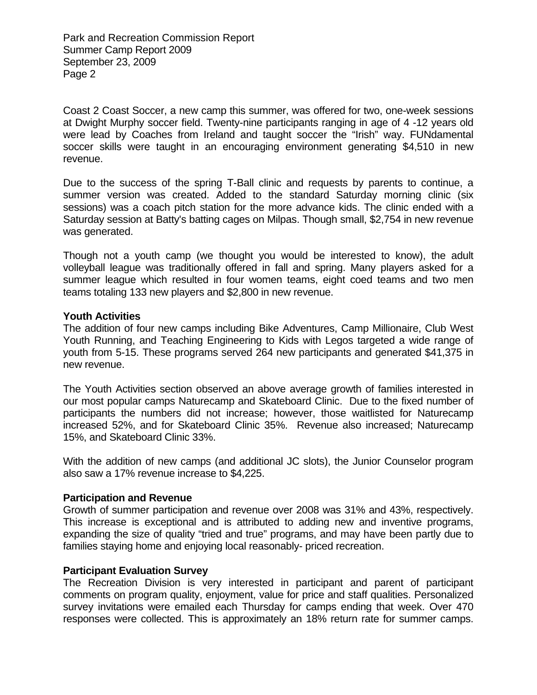Park and Recreation Commission Report Summer Camp Report 2009 September 23, 2009 Page 2

Coast 2 Coast Soccer, a new camp this summer, was offered for two, one-week sessions at Dwight Murphy soccer field. Twenty-nine participants ranging in age of 4 -12 years old were lead by Coaches from Ireland and taught soccer the "Irish" way. FUNdamental soccer skills were taught in an encouraging environment generating \$4,510 in new revenue.

Due to the success of the spring T-Ball clinic and requests by parents to continue, a summer version was created. Added to the standard Saturday morning clinic (six sessions) was a coach pitch station for the more advance kids. The clinic ended with a Saturday session at Batty's batting cages on Milpas. Though small, \$2,754 in new revenue was generated.

Though not a youth camp (we thought you would be interested to know), the adult volleyball league was traditionally offered in fall and spring. Many players asked for a summer league which resulted in four women teams, eight coed teams and two men teams totaling 133 new players and \$2,800 in new revenue.

#### **Youth Activities**

The addition of four new camps including Bike Adventures, Camp Millionaire, Club West Youth Running, and Teaching Engineering to Kids with Legos targeted a wide range of youth from 5-15. These programs served 264 new participants and generated \$41,375 in new revenue.

The Youth Activities section observed an above average growth of families interested in our most popular camps Naturecamp and Skateboard Clinic. Due to the fixed number of participants the numbers did not increase; however, those waitlisted for Naturecamp increased 52%, and for Skateboard Clinic 35%. Revenue also increased; Naturecamp 15%, and Skateboard Clinic 33%.

With the addition of new camps (and additional JC slots), the Junior Counselor program also saw a 17% revenue increase to \$4,225.

### **Participation and Revenue**

Growth of summer participation and revenue over 2008 was 31% and 43%, respectively. This increase is exceptional and is attributed to adding new and inventive programs, expanding the size of quality "tried and true" programs, and may have been partly due to families staying home and enjoying local reasonably- priced recreation.

### **Participant Evaluation Survey**

The Recreation Division is very interested in participant and parent of participant comments on program quality, enjoyment, value for price and staff qualities. Personalized survey invitations were emailed each Thursday for camps ending that week. Over 470 responses were collected. This is approximately an 18% return rate for summer camps.